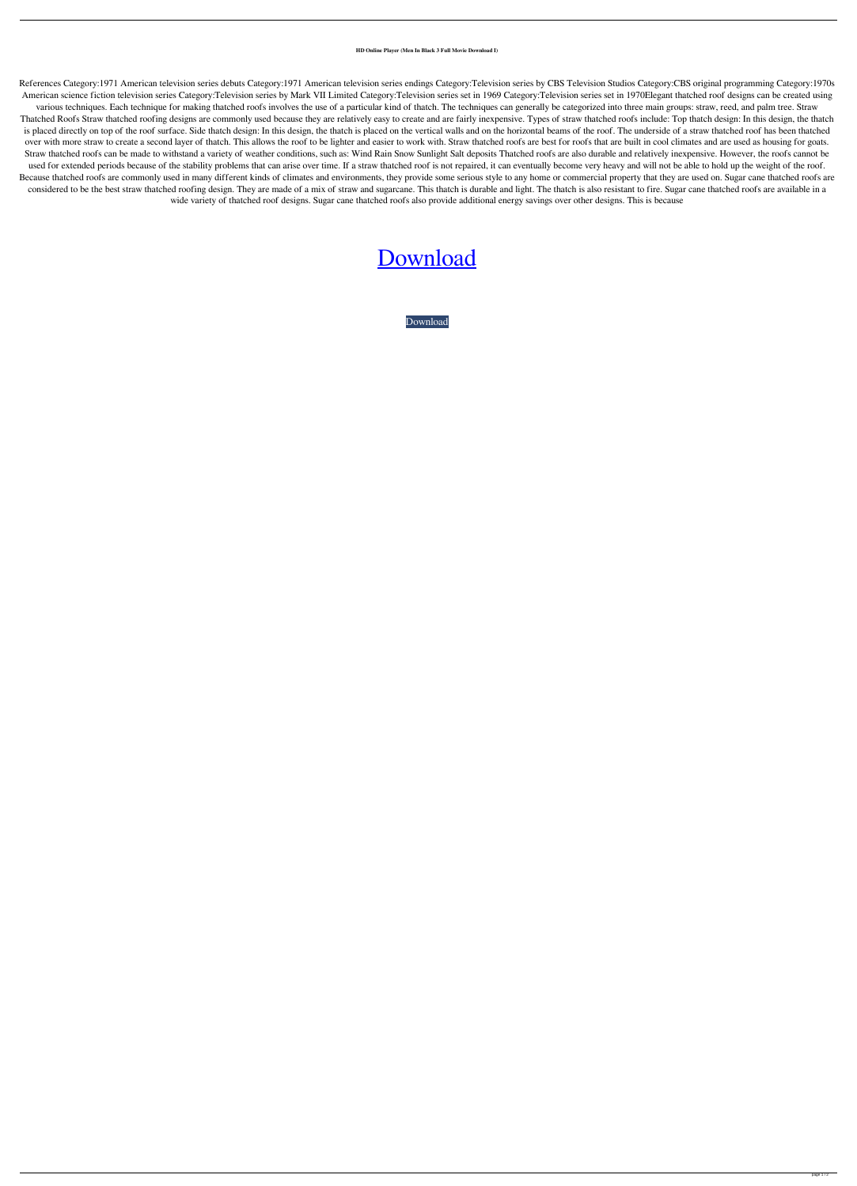## **HD Online Player (Men In Black 3 Full Movie Download I)**

References Category:1971 American television series debuts Category:1971 American television series endings Category:Television series by CBS Television Studios Category:CBS original programming Category:1970s American science fiction television series Category:Television series by Mark VII Limited Category:Television series set in 1969 Category:Television series set in 1970Elegant thatched roof designs can be created using various techniques. Each technique for making thatched roofs involves the use of a particular kind of thatch. The techniques can generally be categorized into three main groups: straw, reed, and palm tree. Straw Thatched Roofs Straw thatched roofing designs are commonly used because they are relatively easy to create and are fairly inexpensive. Types of straw thatched roofs include: Top thatch design: In this design, the thatch is placed directly on top of the roof surface. Side thatch design: In this design, the thatch is placed on the vertical walls and on the horizontal beams of the roof. The underside of a straw thatched roof has been thatched over with more straw to create a second layer of thatch. This allows the roof to be lighter and easier to work with. Straw thatched roofs are best for roofs that are built in cool climates and are used as housing for goats. Straw thatched roofs can be made to withstand a variety of weather conditions, such as: Wind Rain Snow Sunlight Salt deposits Thatched roofs are also durable and relatively inexpensive. However, the roofs cannot be used for extended periods because of the stability problems that can arise over time. If a straw thatched roof is not repaired, it can eventually become very heavy and will not be able to hold up the weight of the roof. Because thatched roofs are commonly used in many different kinds of climates and environments, they provide some serious style to any home or commercial property that they are used on. Sugar cane thatched roofs are considered to be the best straw thatched roofing design. They are made of a mix of straw and sugarcane. This thatch is durable and light. The thatch is also resistant to fire. Sugar cane thatched roofs are available in a wide variety of thatched roof designs. Sugar cane thatched roofs also provide additional energy savings over other designs. This is because

## [Download](http://evacdir.com/evita.shigeru.ZG93bmxvYWR8bzF6TW1GaVozeDhNVFkxTWpRMk16QTFNSHg4TWpVM05IeDhLRTBwSUhKbFlXUXRZbXh2WnlCYlJtRnpkQ0JIUlU1ZA.SEQgT25saW5lIFBsYXllciAoTWVuIEluIEJsYWNrIDMgRnVsbCBNb3ZpZSBEb3dubG9hZCBJKQSEQ.musing.nixing)

[Download](http://evacdir.com/evita.shigeru.ZG93bmxvYWR8bzF6TW1GaVozeDhNVFkxTWpRMk16QTFNSHg4TWpVM05IeDhLRTBwSUhKbFlXUXRZbXh2WnlCYlJtRnpkQ0JIUlU1ZA.SEQgT25saW5lIFBsYXllciAoTWVuIEluIEJsYWNrIDMgRnVsbCBNb3ZpZSBEb3dubG9hZCBJKQSEQ.musing.nixing)